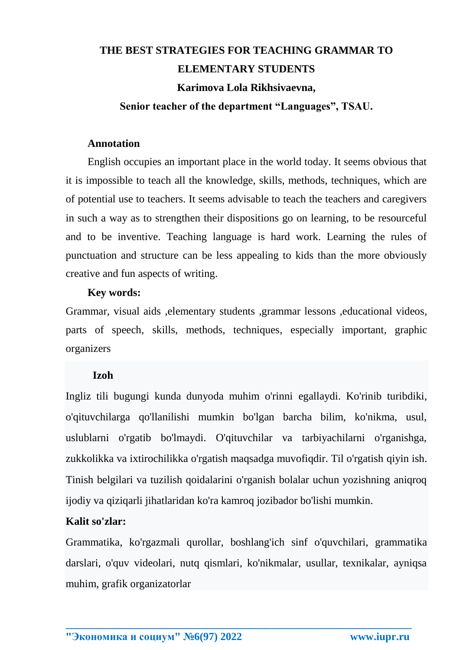# **THE BEST STRATEGIES FOR TEACHING GRAMMAR TO ELEMENTARY STUDENTS Karimova Lola Rikhsivaevna,**

## **Senior teacher of the department "Languages", TSAU.**

### **Annotation**

English occupies an important place in the world today. It seems obvious that it is impossible to teach all the knowledge, skills, methods, techniques, which are of potential use to teachers. It seems advisable to teach the teachers and caregivers in such a way as to strengthen their dispositions go on learning, to be resourceful and to be inventive. Teaching language is hard work. Learning the rules of punctuation and structure can be less appealing to kids than the more obviously creative and fun aspects of writing.

## **Key words:**

Grammar, visual aids ,elementary students ,grammar lessons ,educational videos, parts of speech, skills, methods, techniques, especially important, graphic organizers

# **Izoh**

Ingliz tili bugungi kunda dunyoda muhim o'rinni egallaydi. Ko'rinib turibdiki, o'qituvchilarga qo'llanilishi mumkin bo'lgan barcha bilim, ko'nikma, usul, uslublarni o'rgatib bo'lmaydi. O'qituvchilar va tarbiyachilarni o'rganishga, zukkolikka va ixtirochilikka o'rgatish maqsadga muvofiqdir. Til o'rgatish qiyin ish. Tinish belgilari va tuzilish qoidalarini o'rganish bolalar uchun yozishning aniqroq ijodiy va qiziqarli jihatlaridan ko'ra kamroq jozibador bo'lishi mumkin.

# **Kalit so'zlar:**

Grammatika, ko'rgazmali qurollar, boshlang'ich sinf o'quvchilari, grammatika darslari, o'quv videolari, nutq qismlari, ko'nikmalar, usullar, texnikalar, ayniqsa muhim, grafik organizatorlar

**\_\_\_\_\_\_\_\_\_\_\_\_\_\_\_\_\_\_\_\_\_\_\_\_\_\_\_\_\_\_\_\_\_\_\_\_\_\_\_\_\_\_\_\_\_\_\_\_\_\_\_\_\_\_\_\_\_\_\_\_\_\_\_\_**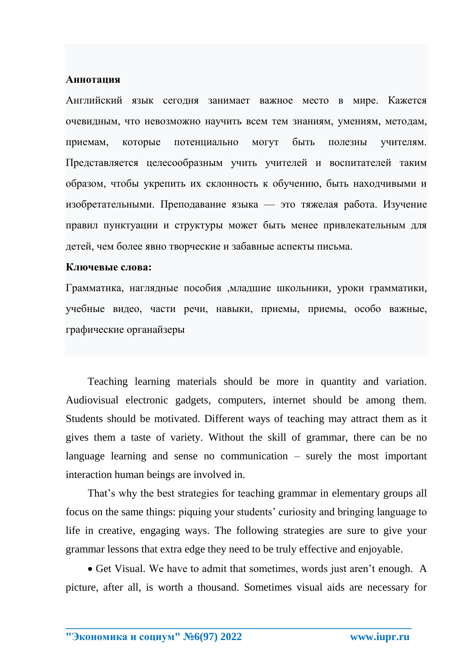### Аннотапия

Английский язык сегодня занимает важное место в мире. Кажется очевидным, что невозможно научить всем тем знаниям, умениям, методам, приемам. которые потенциально **MOTVT** быть полезны учителям. Представляется целесообразным учить учителей и воспитателей таким образом, чтобы укрепить их склонность к обучению, быть находчивыми и изобретательными. Преподавание языка — это тяжелая работа. Изучение правил пунктуации и структуры может быть менее привлекательным для детей, чем более явно творческие и забавные аспекты письма.

#### Ключевые слова:

Грамматика, наглядные пособия ,младшие школьники, уроки грамматики, учебные видео, части речи, навыки, приемы, приемы, особо важные, графические органайзеры

Teaching learning materials should be more in quantity and variation. Audiovisual electronic gadgets, computers, internet should be among them. Students should be motivated. Different ways of teaching may attract them as it gives them a taste of variety. Without the skill of grammar, there can be no language learning and sense no communication  $-$  surely the most important interaction human beings are involved in.

That's why the best strategies for teaching grammar in elementary groups all focus on the same things: piquing your students' curiosity and bringing language to life in creative, engaging ways. The following strategies are sure to give your grammar lessons that extra edge they need to be truly effective and enjoyable.

• Get Visual. We have to admit that sometimes, words just aren't enough. A picture, after all, is worth a thousand. Sometimes visual aids are necessary for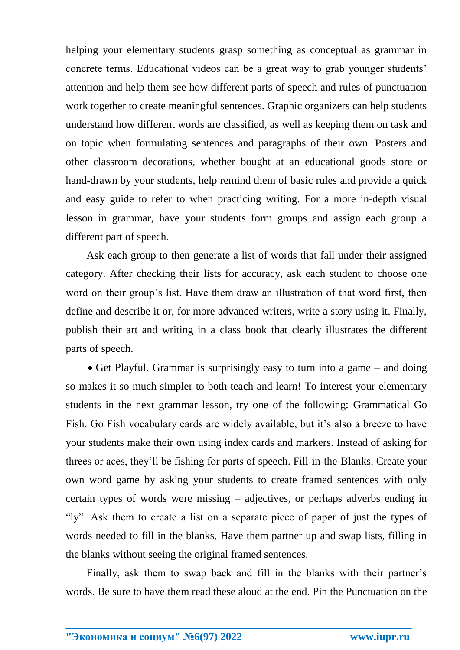helping your elementary students grasp something as conceptual as grammar in concrete terms. Educational videos can be a great way to grab younger students' attention and help them see how different parts of speech and rules of punctuation work together to create meaningful sentences. Graphic organizers can help students understand how different words are classified, as well as keeping them on task and on topic when formulating sentences and paragraphs of their own. Posters and other classroom decorations, whether bought at an educational goods store or hand-drawn by your students, help remind them of basic rules and provide a quick and easy guide to refer to when practicing writing. For a more in-depth visual lesson in grammar, have your students form groups and assign each group a different part of speech.

Ask each group to then generate a list of words that fall under their assigned category. After checking their lists for accuracy, ask each student to choose one word on their group's list. Have them draw an illustration of that word first, then define and describe it or, for more advanced writers, write a story using it. Finally, publish their art and writing in a class book that clearly illustrates the different parts of speech.

• Get Playful. Grammar is surprisingly easy to turn into a game – and doing so makes it so much simpler to both teach and learn! To interest your elementary students in the next grammar lesson, try one of the following: Grammatical Go Fish. Go Fish vocabulary cards are widely available, but it's also a breeze to have your students make their own using index cards and markers. Instead of asking for threes or aces, they'll be fishing for parts of speech. Fill-in-the-Blanks. Create your own word game by asking your students to create framed sentences with only certain types of words were missing – adjectives, or perhaps adverbs ending in "ly". Ask them to create a list on a separate piece of paper of just the types of words needed to fill in the blanks. Have them partner up and swap lists, filling in the blanks without seeing the original framed sentences.

Finally, ask them to swap back and fill in the blanks with their partner's words. Be sure to have them read these aloud at the end. Pin the Punctuation on the

**\_\_\_\_\_\_\_\_\_\_\_\_\_\_\_\_\_\_\_\_\_\_\_\_\_\_\_\_\_\_\_\_\_\_\_\_\_\_\_\_\_\_\_\_\_\_\_\_\_\_\_\_\_\_\_\_\_\_\_\_\_\_\_\_**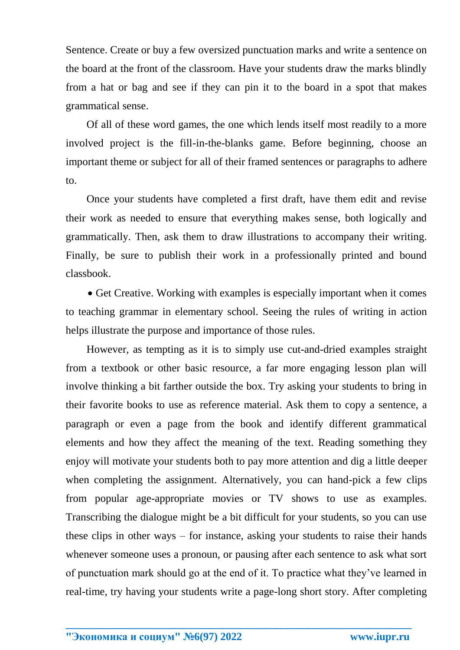Sentence. Create or buy a few oversized punctuation marks and write a sentence on the board at the front of the classroom. Have your students draw the marks blindly from a hat or bag and see if they can pin it to the board in a spot that makes grammatical sense.

Of all of these word games, the one which lends itself most readily to a more involved project is the fill-in-the-blanks game. Before beginning, choose an important theme or subject for all of their framed sentences or paragraphs to adhere to.

Once your students have completed a first draft, have them edit and revise their work as needed to ensure that everything makes sense, both logically and grammatically. Then, ask them to draw illustrations to accompany their writing. Finally, be sure to publish their work in a professionally printed and bound classbook.

• Get Creative. Working with examples is especially important when it comes to teaching grammar in elementary school. Seeing the rules of writing in action helps illustrate the purpose and importance of those rules.

However, as tempting as it is to simply use cut-and-dried examples straight from a textbook or other basic resource, a far more engaging lesson plan will involve thinking a bit farther outside the box. Try asking your students to bring in their favorite books to use as reference material. Ask them to copy a sentence, a paragraph or even a page from the book and identify different grammatical elements and how they affect the meaning of the text. Reading something they enjoy will motivate your students both to pay more attention and dig a little deeper when completing the assignment. Alternatively, you can hand-pick a few clips from popular age-appropriate movies or TV shows to use as examples. Transcribing the dialogue might be a bit difficult for your students, so you can use these clips in other ways – for instance, asking your students to raise their hands whenever someone uses a pronoun, or pausing after each sentence to ask what sort of punctuation mark should go at the end of it. To practice what they've learned in real-time, try having your students write a page-long short story. After completing

**\_\_\_\_\_\_\_\_\_\_\_\_\_\_\_\_\_\_\_\_\_\_\_\_\_\_\_\_\_\_\_\_\_\_\_\_\_\_\_\_\_\_\_\_\_\_\_\_\_\_\_\_\_\_\_\_\_\_\_\_\_\_\_\_**